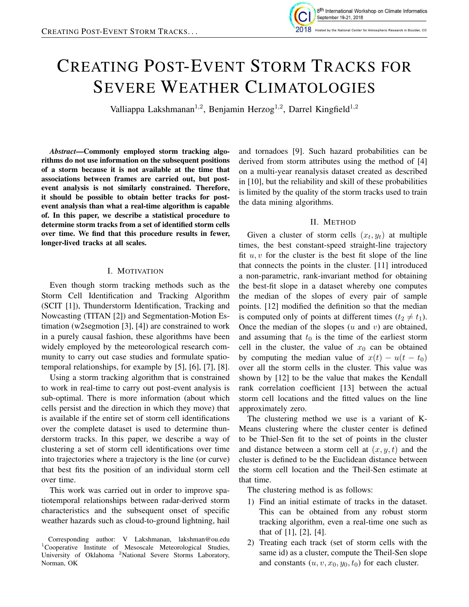

# CREATING POST-EVENT STORM TRACKS FOR SEVERE WEATHER CLIMATOLOGIES

Valliappa Lakshmanan<sup>1,2</sup>, Benjamin Herzog<sup>1,2</sup>, Darrel Kingfield<sup>1,2</sup>

*Abstract*—Commonly employed storm tracking algorithms do not use information on the subsequent positions of a storm because it is not available at the time that associations between frames are carried out, but postevent analysis is not similarly constrained. Therefore, it should be possible to obtain better tracks for postevent analysis than what a real-time algorithm is capable of. In this paper, we describe a statistical procedure to determine storm tracks from a set of identified storm cells over time. We find that this procedure results in fewer, longer-lived tracks at all scales.

## I. MOTIVATION

Even though storm tracking methods such as the Storm Cell Identification and Tracking Algorithm (SCIT [1]), Thunderstorm Identification, Tracking and Nowcasting (TITAN [2]) and Segmentation-Motion Estimation (w2segmotion [3], [4]) are constrained to work in a purely causal fashion, these algorithms have been widely employed by the meteorological research community to carry out case studies and formulate spatiotemporal relationships, for example by [5], [6], [7], [8].

Using a storm tracking algorithm that is constrained to work in real-time to carry out post-event analysis is sub-optimal. There is more information (about which cells persist and the direction in which they move) that is available if the entire set of storm cell identifications over the complete dataset is used to determine thunderstorm tracks. In this paper, we describe a way of clustering a set of storm cell identifications over time into trajectories where a trajectory is the line (or curve) that best fits the position of an individual storm cell over time.

This work was carried out in order to improve spatiotemporal relationships between radar-derived storm characteristics and the subsequent onset of specific weather hazards such as cloud-to-ground lightning, hail

and tornadoes [9]. Such hazard probabilities can be derived from storm attributes using the method of [4] on a multi-year reanalysis dataset created as described in [10], but the reliability and skill of these probabilities is limited by the quality of the storm tracks used to train the data mining algorithms.

# II. METHOD

Given a cluster of storm cells  $(x_t, y_t)$  at multiple times, the best constant-speed straight-line trajectory fit  $u, v$  for the cluster is the best fit slope of the line that connects the points in the cluster. [11] introduced a non-parametric, rank-invariant method for obtaining the best-fit slope in a dataset whereby one computes the median of the slopes of every pair of sample points. [12] modified the definition so that the median is computed only of points at different times  $(t_2 \neq t_1)$ . Once the median of the slopes  $(u \text{ and } v)$  are obtained, and assuming that  $t_0$  is the time of the earliest storm cell in the cluster, the value of  $x_0$  can be obtained by computing the median value of  $x(t) - u(t - t_0)$ over all the storm cells in the cluster. This value was shown by [12] to be the value that makes the Kendall rank correlation coefficient [13] between the actual storm cell locations and the fitted values on the line approximately zero.

The clustering method we use is a variant of K-Means clustering where the cluster center is defined to be Thiel-Sen fit to the set of points in the cluster and distance between a storm cell at  $(x, y, t)$  and the cluster is defined to be the Euclidean distance between the storm cell location and the Theil-Sen estimate at that time.

The clustering method is as follows:

- 1) Find an initial estimate of tracks in the dataset. This can be obtained from any robust storm tracking algorithm, even a real-time one such as that of [1], [2], [4].
- 2) Treating each track (set of storm cells with the same id) as a cluster, compute the Theil-Sen slope and constants  $(u, v, x_0, y_0, t_0)$  for each cluster.

Corresponding author: V Lakshmanan, lakshman@ou.edu  $1$ Cooperative Institute of Mesoscale Meteorological Studies, University of Oklahoma <sup>2</sup>National Severe Storms Laboratory, Norman, OK